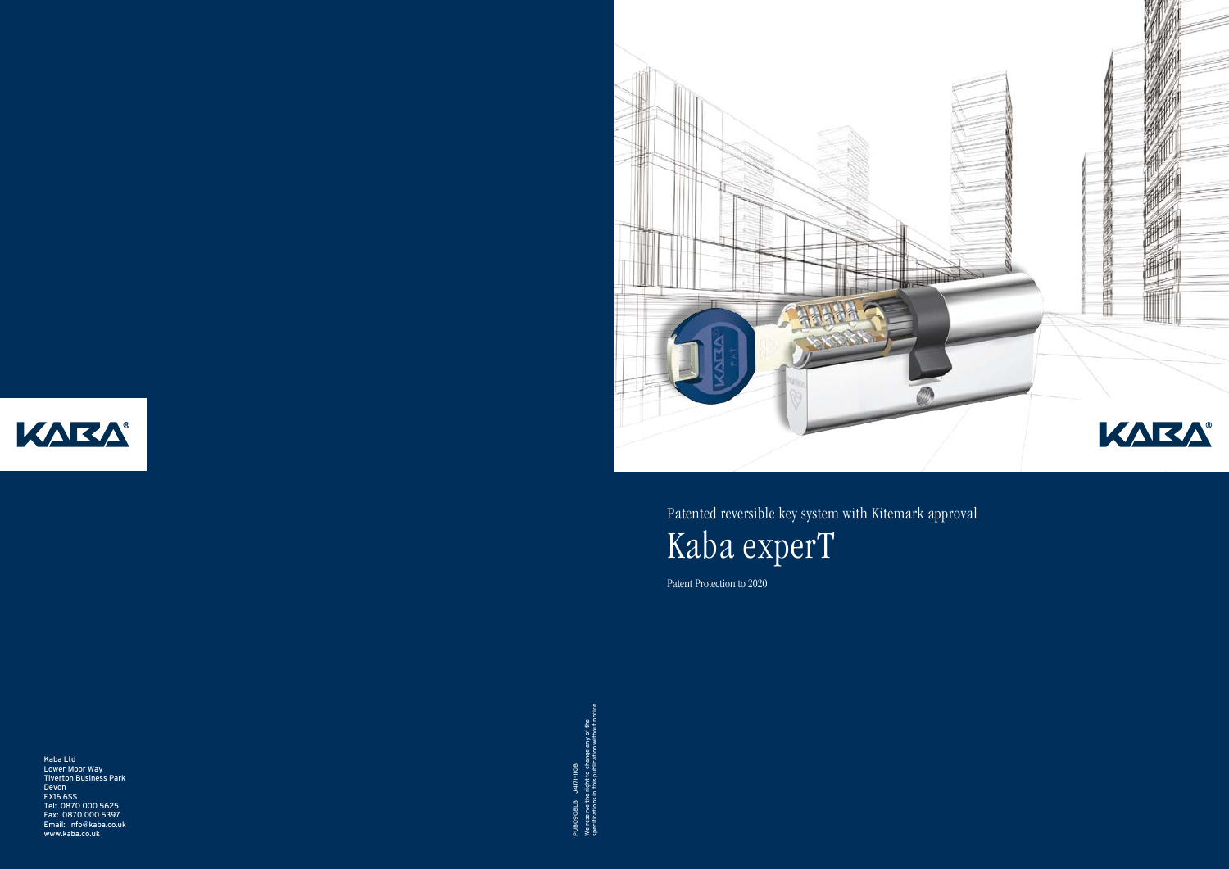

Kaba Ltd Lower Moor Way Tiverton Business Park Devon EX16 6SS Tel: 0870 000 5625 Fax: 0870 000 5397 Email: info@kaba.co.uk www.kaba.co.uk

specifications in this publication without notice. We reserve the right to change any of the PUBO9O8LB J417t-1108<br>We reserve the right to change any of the<br>specifications in this publication without r PUB0908LB J4171-1108



Patented reversible key system with Kitemark approval Kaba experT

Patent Protection to 2020